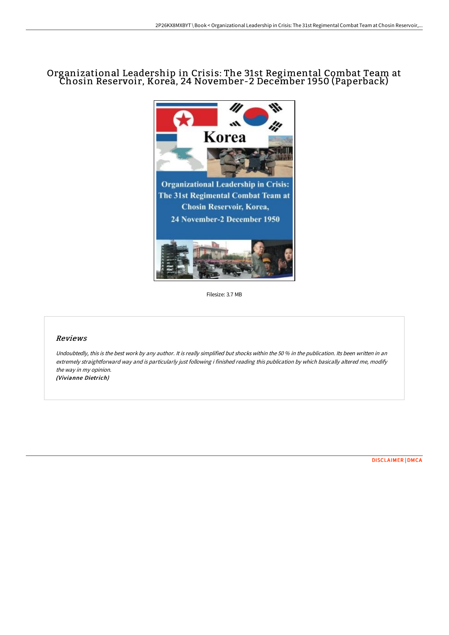## Organizational Leadership in Crisis: The 31st Regimental Combat Team at Chosin Reservoir, Korea, 24 November-2 December 1950 (Paperback)



Filesize: 3.7 MB

## Reviews

Undoubtedly, this is the best work by any author. It is really simplified but shocks within the 50 % in the publication. Its been written in an extremely straightforward way and is particularly just following i finished reading this publication by which basically altered me, modify the way in my opinion. (Vivianne Dietrich)

[DISCLAIMER](http://albedo.media/disclaimer.html) | [DMCA](http://albedo.media/dmca.html)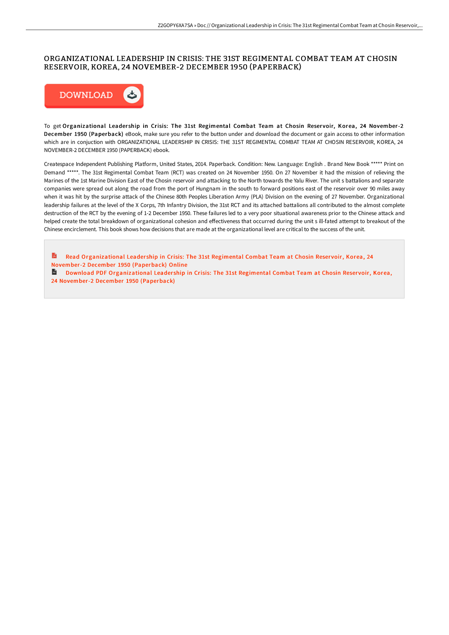## ORGANIZATIONAL LEADERSHIP IN CRISIS: THE 31ST REGIMENTAL COMBAT TEAM AT CHOSIN RESERVOIR, KOREA, 24 NOVEMBER-2 DECEMBER 1950 (PAPERBACK)



To get Organizational Leadership in Crisis: The 31st Regimental Combat Team at Chosin Reservoir, Korea, 24 November-2 December 1950 (Paperback) eBook, make sure you refer to the button under and download the document or gain access to other information which are in conjuction with ORGANIZATIONAL LEADERSHIP IN CRISIS: THE 31ST REGIMENTAL COMBAT TEAM AT CHOSIN RESERVOIR, KOREA, 24 NOVEMBER-2 DECEMBER 1950 (PAPERBACK) ebook.

Createspace Independent Publishing Platform, United States, 2014. Paperback. Condition: New. Language: English . Brand New Book \*\*\*\*\* Print on Demand \*\*\*\*\*. The 31st Regimental Combat Team (RCT) was created on 24 November 1950. On 27 November it had the mission of relieving the Marines of the 1st Marine Division East of the Chosin reservoir and attacking to the North towards the Yalu River. The unit s battalions and separate companies were spread out along the road from the port of Hungnam in the south to forward positions east of the reservoir over 90 miles away when it was hit by the surprise attack of the Chinese 80th Peoples Liberation Army (PLA) Division on the evening of 27 November. Organizational leadership failures at the level of the X Corps, 7th Infantry Division, the 31st RCT and its attached battalions all contributed to the almost complete destruction of the RCT by the evening of 1-2 December 1950. These failures led to a very poor situational awareness prior to the Chinese attack and helped create the total breakdown of organizational cohesion and effectiveness that occurred during the unit s ill-fated attempt to breakout of the Chinese encirclement. This book shows how decisions that are made at the organizational level are critical to the success of the unit.

R Read [Organizational](http://albedo.media/organizational-leadership-in-crisis-the-31st-reg.html) Leadership in Crisis: The 31st Regimental Combat Team at Chosin Reservoir, Korea, 24 November-2 December 1950 (Paperback) Online

**Download PDF [Organizational](http://albedo.media/organizational-leadership-in-crisis-the-31st-reg.html) Leadership in Crisis: The 31st Regimental Combat Team at Chosin Reservoir, Korea,** 24 November-2 December 1950 (Paperback)